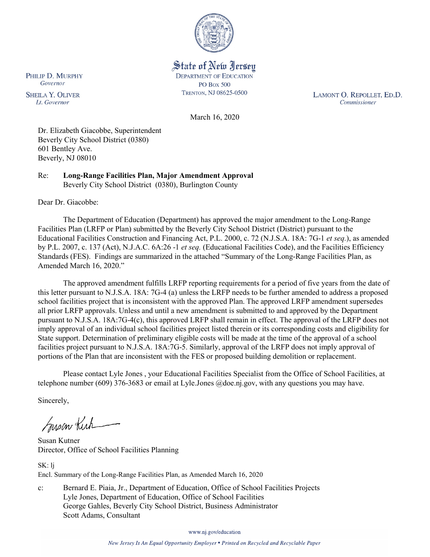

State of New Jersey **DEPARTMENT OF EDUCATION PO Box 500** TRENTON, NJ 08625-0500

LAMONT O. REPOLLET, ED.D. Commissioner

March 16, 2020

Dr. Elizabeth Giacobbe, Superintendent Beverly City School District (0380) 601 Bentley Ave. Beverly, NJ 08010

Re: **Long-Range Facilities Plan, Major Amendment Approval** Beverly City School District (0380), Burlington County

Dear Dr. Giacobbe:

The Department of Education (Department) has approved the major amendment to the Long-Range Facilities Plan (LRFP or Plan) submitted by the Beverly City School District (District) pursuant to the Educational Facilities Construction and Financing Act, P.L. 2000, c. 72 (N.J.S.A. 18A: 7G-1 *et seq.*), as amended by P.L. 2007, c. 137 (Act), N.J.A.C. 6A:26 -1 *et seq.* (Educational Facilities Code), and the Facilities Efficiency Standards (FES). Findings are summarized in the attached "Summary of the Long-Range Facilities Plan, as Amended March 16, 2020."

The approved amendment fulfills LRFP reporting requirements for a period of five years from the date of this letter pursuant to N.J.S.A. 18A: 7G-4 (a) unless the LRFP needs to be further amended to address a proposed school facilities project that is inconsistent with the approved Plan. The approved LRFP amendment supersedes all prior LRFP approvals. Unless and until a new amendment is submitted to and approved by the Department pursuant to N.J.S.A. 18A:7G-4(c), this approved LRFP shall remain in effect. The approval of the LRFP does not imply approval of an individual school facilities project listed therein or its corresponding costs and eligibility for State support. Determination of preliminary eligible costs will be made at the time of the approval of a school facilities project pursuant to N.J.S.A. 18A:7G-5. Similarly, approval of the LRFP does not imply approval of portions of the Plan that are inconsistent with the FES or proposed building demolition or replacement.

Please contact Lyle Jones , your Educational Facilities Specialist from the Office of School Facilities, at telephone number (609) 376-3683 or email at Lyle.Jones @doe.nj.gov, with any questions you may have.

Sincerely,

Susan Kich

Susan Kutner Director, Office of School Facilities Planning

SK: lj Encl. Summary of the Long-Range Facilities Plan, as Amended March 16, 2020

c: Bernard E. Piaia, Jr., Department of Education, Office of School Facilities Projects Lyle Jones, Department of Education, Office of School Facilities George Gahles, Beverly City School District, Business Administrator Scott Adams, Consultant

www.nj.gov/education

PHILIP D. MURPHY Governor

**SHEILA Y. OLIVER** Lt. Governor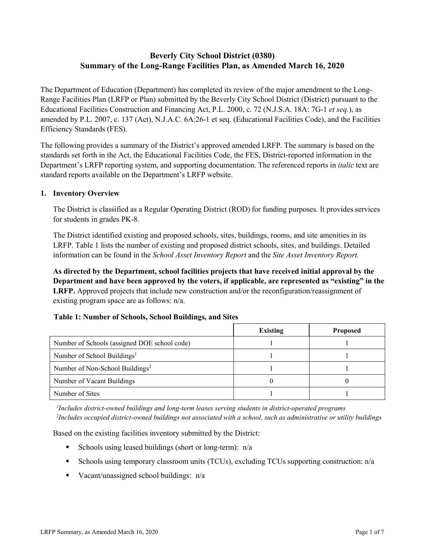# **Beverly City School District (0380) Summary of the Long-Range Facilities Plan, as Amended March 16, 2020**

The Department of Education (Department) has completed its review of the major amendment to the Long-Range Facilities Plan (LRFP or Plan) submitted by the Beverly City School District (District) pursuant to the Educational Facilities Construction and Financing Act, P.L. 2000, c. 72 (N.J.S.A. 18A: 7G-1 *et seq.*), as amended by P.L. 2007, c. 137 (Act), N.J.A.C. 6A:26-1 et seq. (Educational Facilities Code), and the Facilities Efficiency Standards (FES).

The following provides a summary of the District's approved amended LRFP. The summary is based on the standards set forth in the Act, the Educational Facilities Code, the FES, District-reported information in the Department's LRFP reporting system, and supporting documentation. The referenced reports in *italic* text are standard reports available on the Department's LRFP website.

### **1. Inventory Overview**

The District is classified as a Regular Operating District (ROD) for funding purposes. It provides services for students in grades PK-8.

The District identified existing and proposed schools, sites, buildings, rooms, and site amenities in its LRFP. Table 1 lists the number of existing and proposed district schools, sites, and buildings. Detailed information can be found in the *School Asset Inventory Report* and the *Site Asset Inventory Report.*

**As directed by the Department, school facilities projects that have received initial approval by the Department and have been approved by the voters, if applicable, are represented as "existing" in the LRFP.** Approved projects that include new construction and/or the reconfiguration/reassignment of existing program space are as follows: n/a.

# **Table 1: Number of Schools, School Buildings, and Sites**

|                                              | Existing | <b>Proposed</b> |
|----------------------------------------------|----------|-----------------|
| Number of Schools (assigned DOE school code) |          |                 |
| Number of School Buildings <sup>1</sup>      |          |                 |
| Number of Non-School Buildings <sup>2</sup>  |          |                 |
| Number of Vacant Buildings                   |          |                 |
| Number of Sites                              |          |                 |

*1 Includes district-owned buildings and long-term leases serving students in district-operated programs 2 Includes occupied district-owned buildings not associated with a school, such as administrative or utility buildings*

Based on the existing facilities inventory submitted by the District:

- Schools using leased buildings (short or long-term):  $n/a$
- Schools using temporary classroom units (TCUs), excluding TCUs supporting construction: n/a
- Vacant/unassigned school buildings:  $n/a$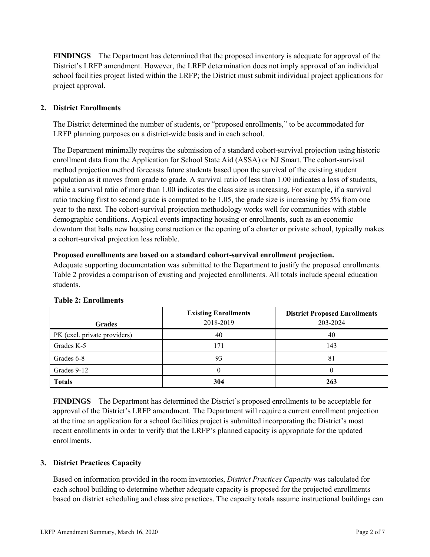**FINDINGS** The Department has determined that the proposed inventory is adequate for approval of the District's LRFP amendment. However, the LRFP determination does not imply approval of an individual school facilities project listed within the LRFP; the District must submit individual project applications for project approval.

# **2. District Enrollments**

The District determined the number of students, or "proposed enrollments," to be accommodated for LRFP planning purposes on a district-wide basis and in each school.

The Department minimally requires the submission of a standard cohort-survival projection using historic enrollment data from the Application for School State Aid (ASSA) or NJ Smart. The cohort-survival method projection method forecasts future students based upon the survival of the existing student population as it moves from grade to grade. A survival ratio of less than 1.00 indicates a loss of students, while a survival ratio of more than 1.00 indicates the class size is increasing. For example, if a survival ratio tracking first to second grade is computed to be 1.05, the grade size is increasing by 5% from one year to the next. The cohort-survival projection methodology works well for communities with stable demographic conditions. Atypical events impacting housing or enrollments, such as an economic downturn that halts new housing construction or the opening of a charter or private school, typically makes a cohort-survival projection less reliable.

#### **Proposed enrollments are based on a standard cohort-survival enrollment projection.**

Adequate supporting documentation was submitted to the Department to justify the proposed enrollments. Table 2 provides a comparison of existing and projected enrollments. All totals include special education students.

| <b>Grades</b>                | <b>Existing Enrollments</b><br>2018-2019 | <b>District Proposed Enrollments</b><br>203-2024 |
|------------------------------|------------------------------------------|--------------------------------------------------|
|                              |                                          |                                                  |
| PK (excl. private providers) | 40                                       | 40                                               |
| Grades K-5                   | 171                                      | 143                                              |
| Grades 6-8                   | 93                                       | 81                                               |
| Grades 9-12                  |                                          |                                                  |
| <b>Totals</b>                | 304                                      | 263                                              |

#### **Table 2: Enrollments**

**FINDINGS** The Department has determined the District's proposed enrollments to be acceptable for approval of the District's LRFP amendment. The Department will require a current enrollment projection at the time an application for a school facilities project is submitted incorporating the District's most recent enrollments in order to verify that the LRFP's planned capacity is appropriate for the updated enrollments.

#### **3. District Practices Capacity**

Based on information provided in the room inventories, *District Practices Capacity* was calculated for each school building to determine whether adequate capacity is proposed for the projected enrollments based on district scheduling and class size practices. The capacity totals assume instructional buildings can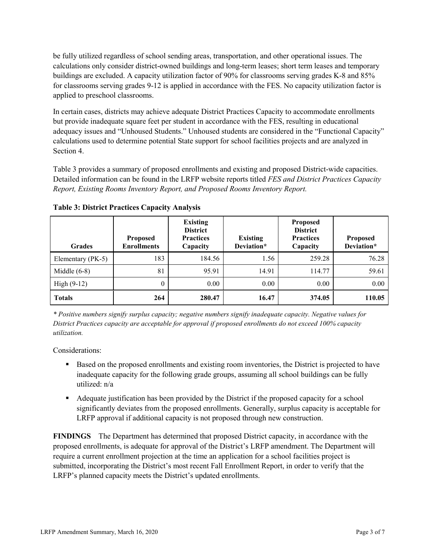be fully utilized regardless of school sending areas, transportation, and other operational issues. The calculations only consider district-owned buildings and long-term leases; short term leases and temporary buildings are excluded. A capacity utilization factor of 90% for classrooms serving grades K-8 and 85% for classrooms serving grades 9-12 is applied in accordance with the FES. No capacity utilization factor is applied to preschool classrooms.

In certain cases, districts may achieve adequate District Practices Capacity to accommodate enrollments but provide inadequate square feet per student in accordance with the FES, resulting in educational adequacy issues and "Unhoused Students." Unhoused students are considered in the "Functional Capacity" calculations used to determine potential State support for school facilities projects and are analyzed in Section 4.

Table 3 provides a summary of proposed enrollments and existing and proposed District-wide capacities. Detailed information can be found in the LRFP website reports titled *FES and District Practices Capacity Report, Existing Rooms Inventory Report, and Proposed Rooms Inventory Report.*

| <b>Grades</b>     | <b>Proposed</b><br><b>Enrollments</b> | <b>Existing</b><br><b>District</b><br><b>Practices</b><br>Capacity | <b>Existing</b><br>Deviation* | <b>Proposed</b><br><b>District</b><br><b>Practices</b><br>Capacity | <b>Proposed</b><br>Deviation* |
|-------------------|---------------------------------------|--------------------------------------------------------------------|-------------------------------|--------------------------------------------------------------------|-------------------------------|
| Elementary (PK-5) | 183                                   | 184.56                                                             | 1.56                          | 259.28                                                             | 76.28                         |
| Middle $(6-8)$    | 81                                    | 95.91                                                              | 14.91                         | 114.77                                                             | 59.61                         |
| High $(9-12)$     | $\theta$                              | 0.00                                                               | 0.00                          | 0.00                                                               | 0.00                          |
| <b>Totals</b>     | 264                                   | 280.47                                                             | 16.47                         | 374.05                                                             | 110.05                        |

**Table 3: District Practices Capacity Analysis**

*\* Positive numbers signify surplus capacity; negative numbers signify inadequate capacity. Negative values for District Practices capacity are acceptable for approval if proposed enrollments do not exceed 100% capacity utilization.*

Considerations:

- **Based on the proposed enrollments and existing room inventories, the District is projected to have** inadequate capacity for the following grade groups, assuming all school buildings can be fully utilized: n/a
- Adequate justification has been provided by the District if the proposed capacity for a school significantly deviates from the proposed enrollments. Generally, surplus capacity is acceptable for LRFP approval if additional capacity is not proposed through new construction.

**FINDINGS**The Department has determined that proposed District capacity, in accordance with the proposed enrollments, is adequate for approval of the District's LRFP amendment. The Department will require a current enrollment projection at the time an application for a school facilities project is submitted, incorporating the District's most recent Fall Enrollment Report, in order to verify that the LRFP's planned capacity meets the District's updated enrollments.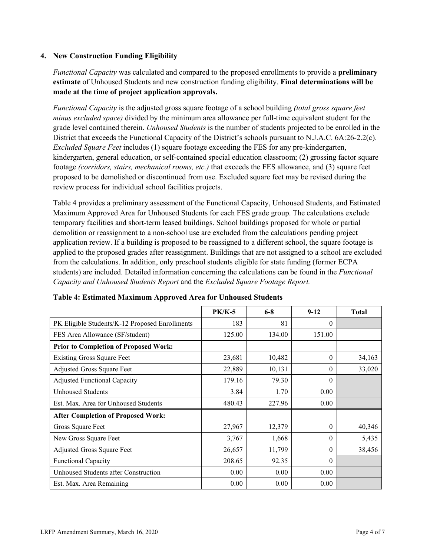### **4. New Construction Funding Eligibility**

*Functional Capacity* was calculated and compared to the proposed enrollments to provide a **preliminary estimate** of Unhoused Students and new construction funding eligibility. **Final determinations will be made at the time of project application approvals.**

*Functional Capacity* is the adjusted gross square footage of a school building *(total gross square feet minus excluded space)* divided by the minimum area allowance per full-time equivalent student for the grade level contained therein. *Unhoused Students* is the number of students projected to be enrolled in the District that exceeds the Functional Capacity of the District's schools pursuant to N.J.A.C. 6A:26-2.2(c). *Excluded Square Feet* includes (1) square footage exceeding the FES for any pre-kindergarten, kindergarten, general education, or self-contained special education classroom; (2) grossing factor square footage *(corridors, stairs, mechanical rooms, etc.)* that exceeds the FES allowance, and (3) square feet proposed to be demolished or discontinued from use. Excluded square feet may be revised during the review process for individual school facilities projects.

Table 4 provides a preliminary assessment of the Functional Capacity, Unhoused Students, and Estimated Maximum Approved Area for Unhoused Students for each FES grade group. The calculations exclude temporary facilities and short-term leased buildings. School buildings proposed for whole or partial demolition or reassignment to a non-school use are excluded from the calculations pending project application review. If a building is proposed to be reassigned to a different school, the square footage is applied to the proposed grades after reassignment. Buildings that are not assigned to a school are excluded from the calculations. In addition, only preschool students eligible for state funding (former ECPA students) are included. Detailed information concerning the calculations can be found in the *Functional Capacity and Unhoused Students Report* and the *Excluded Square Footage Report.*

|                                                | <b>PK/K-5</b> | $6 - 8$ | $9 - 12$ | <b>Total</b> |
|------------------------------------------------|---------------|---------|----------|--------------|
| PK Eligible Students/K-12 Proposed Enrollments | 183           | 81      | $\theta$ |              |
| FES Area Allowance (SF/student)                | 125.00        | 134.00  | 151.00   |              |
| <b>Prior to Completion of Proposed Work:</b>   |               |         |          |              |
| <b>Existing Gross Square Feet</b>              | 23,681        | 10,482  | $\theta$ | 34,163       |
| Adjusted Gross Square Feet                     | 22,889        | 10,131  | $\theta$ | 33,020       |
| <b>Adjusted Functional Capacity</b>            | 179.16        | 79.30   | $\Omega$ |              |
| <b>Unhoused Students</b>                       | 3.84          | 1.70    | 0.00     |              |
| Est. Max. Area for Unhoused Students           | 480.43        | 227.96  | 0.00     |              |
| <b>After Completion of Proposed Work:</b>      |               |         |          |              |
| Gross Square Feet                              | 27,967        | 12,379  | $\theta$ | 40,346       |
| New Gross Square Feet                          | 3,767         | 1,668   | $\Omega$ | 5,435        |
| Adjusted Gross Square Feet                     | 26,657        | 11,799  | $\Omega$ | 38,456       |
| <b>Functional Capacity</b>                     | 208.65        | 92.35   | $\Omega$ |              |
| Unhoused Students after Construction           | 0.00          | 0.00    | 0.00     |              |
| Est. Max. Area Remaining                       | 0.00          | 0.00    | 0.00     |              |

#### **Table 4: Estimated Maximum Approved Area for Unhoused Students**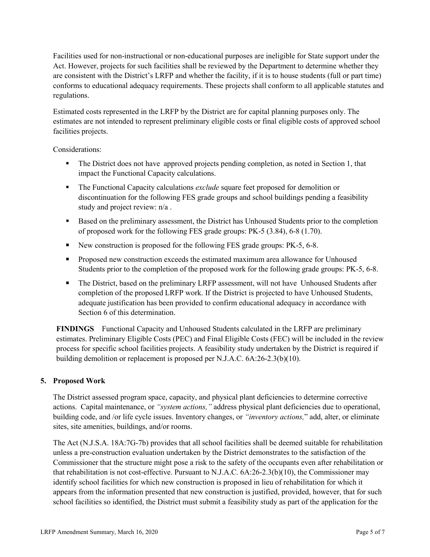Facilities used for non-instructional or non-educational purposes are ineligible for State support under the Act. However, projects for such facilities shall be reviewed by the Department to determine whether they are consistent with the District's LRFP and whether the facility, if it is to house students (full or part time) conforms to educational adequacy requirements. These projects shall conform to all applicable statutes and regulations.

Estimated costs represented in the LRFP by the District are for capital planning purposes only. The estimates are not intended to represent preliminary eligible costs or final eligible costs of approved school facilities projects.

Considerations:

- The District does not have approved projects pending completion, as noted in Section 1, that impact the Functional Capacity calculations.
- The Functional Capacity calculations *exclude* square feet proposed for demolition or discontinuation for the following FES grade groups and school buildings pending a feasibility study and project review: n/a .
- **Based on the preliminary assessment, the District has Unhoused Students prior to the completion** of proposed work for the following FES grade groups: PK-5 (3.84), 6-8 (1.70).
- New construction is proposed for the following FES grade groups: PK-5, 6-8.
- **Proposed new construction exceeds the estimated maximum area allowance for Unhoused** Students prior to the completion of the proposed work for the following grade groups: PK-5, 6-8.
- The District, based on the preliminary LRFP assessment, will not have Unhoused Students after completion of the proposed LRFP work. If the District is projected to have Unhoused Students, adequate justification has been provided to confirm educational adequacy in accordance with Section 6 of this determination.

**FINDINGS** Functional Capacity and Unhoused Students calculated in the LRFP are preliminary estimates. Preliminary Eligible Costs (PEC) and Final Eligible Costs (FEC) will be included in the review process for specific school facilities projects. A feasibility study undertaken by the District is required if building demolition or replacement is proposed per N.J.A.C. 6A:26-2.3(b)(10).

# **5. Proposed Work**

The District assessed program space, capacity, and physical plant deficiencies to determine corrective actions. Capital maintenance, or *"system actions,"* address physical plant deficiencies due to operational, building code, and /or life cycle issues. Inventory changes, or *"inventory actions,*" add, alter, or eliminate sites, site amenities, buildings, and/or rooms.

The Act (N.J.S.A. 18A:7G-7b) provides that all school facilities shall be deemed suitable for rehabilitation unless a pre-construction evaluation undertaken by the District demonstrates to the satisfaction of the Commissioner that the structure might pose a risk to the safety of the occupants even after rehabilitation or that rehabilitation is not cost-effective. Pursuant to N.J.A.C. 6A:26-2.3(b)(10), the Commissioner may identify school facilities for which new construction is proposed in lieu of rehabilitation for which it appears from the information presented that new construction is justified, provided, however, that for such school facilities so identified, the District must submit a feasibility study as part of the application for the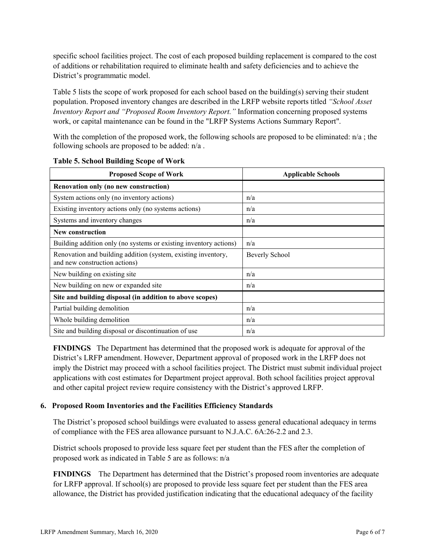specific school facilities project. The cost of each proposed building replacement is compared to the cost of additions or rehabilitation required to eliminate health and safety deficiencies and to achieve the District's programmatic model.

Table 5 lists the scope of work proposed for each school based on the building(s) serving their student population. Proposed inventory changes are described in the LRFP website reports titled *"School Asset Inventory Report and "Proposed Room Inventory Report."* Information concerning proposed systems work, or capital maintenance can be found in the "LRFP Systems Actions Summary Report".

With the completion of the proposed work, the following schools are proposed to be eliminated:  $n/a$ ; the following schools are proposed to be added: n/a .

| <b>Proposed Scope of Work</b>                                                                  | <b>Applicable Schools</b> |
|------------------------------------------------------------------------------------------------|---------------------------|
| Renovation only (no new construction)                                                          |                           |
| System actions only (no inventory actions)                                                     | n/a                       |
| Existing inventory actions only (no systems actions)                                           | n/a                       |
| Systems and inventory changes                                                                  | n/a                       |
| <b>New construction</b>                                                                        |                           |
| Building addition only (no systems or existing inventory actions)                              | n/a                       |
| Renovation and building addition (system, existing inventory,<br>and new construction actions) | Beverly School            |
| New building on existing site                                                                  | n/a                       |
| New building on new or expanded site                                                           | n/a                       |
| Site and building disposal (in addition to above scopes)                                       |                           |
| Partial building demolition                                                                    | n/a                       |
| Whole building demolition                                                                      | n/a                       |
| Site and building disposal or discontinuation of use                                           | n/a                       |

|  | <b>Table 5. School Building Scope of Work</b> |  |  |
|--|-----------------------------------------------|--|--|
|  |                                               |  |  |

**FINDINGS** The Department has determined that the proposed work is adequate for approval of the District's LRFP amendment. However, Department approval of proposed work in the LRFP does not imply the District may proceed with a school facilities project. The District must submit individual project applications with cost estimates for Department project approval. Both school facilities project approval and other capital project review require consistency with the District's approved LRFP.

#### **6. Proposed Room Inventories and the Facilities Efficiency Standards**

The District's proposed school buildings were evaluated to assess general educational adequacy in terms of compliance with the FES area allowance pursuant to N.J.A.C. 6A:26-2.2 and 2.3.

District schools proposed to provide less square feet per student than the FES after the completion of proposed work as indicated in Table 5 are as follows: n/a

**FINDINGS** The Department has determined that the District's proposed room inventories are adequate for LRFP approval. If school(s) are proposed to provide less square feet per student than the FES area allowance, the District has provided justification indicating that the educational adequacy of the facility